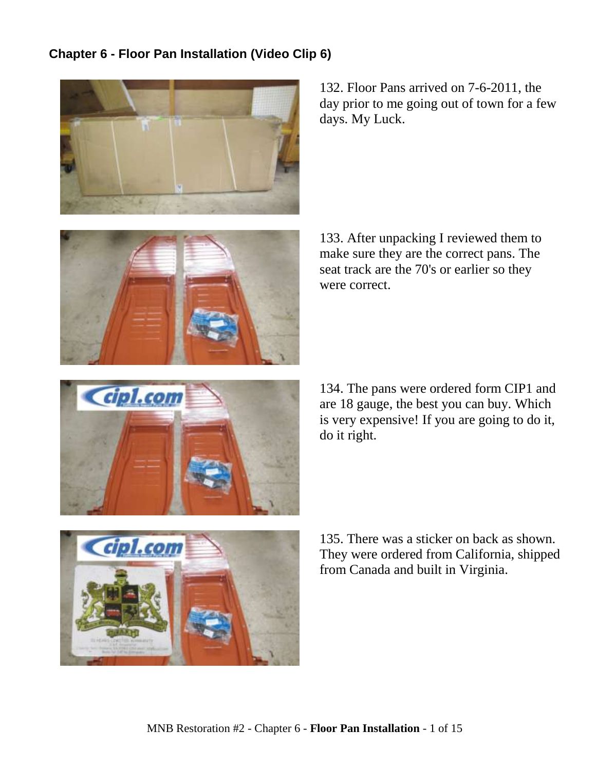## **Chapter 6 - Floor Pan Installation (Video Clip 6)**



132. Floor Pans arrived on 7-6-2011, the day prior to me going out of town for a few days. My Luck.



133. After unpacking I reviewed them to make sure they are the correct pans. The seat track are the 70's or earlier so they were correct.



134. The pans were ordered form CIP1 and are 18 gauge, the best you can buy. Which is very expensive! If you are going to do it, do it right.



135. There was a sticker on back as shown. They were ordered from California, shipped from Canada and built in Virginia.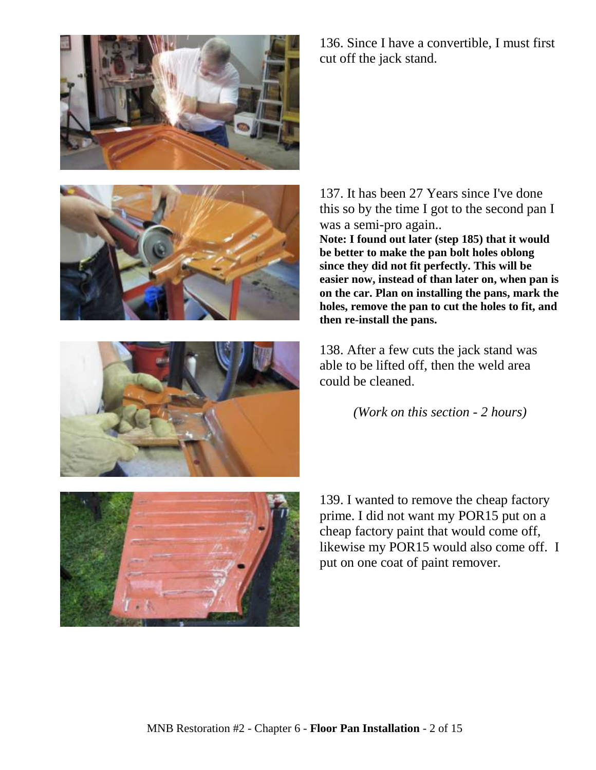







136. Since I have a convertible, I must first cut off the jack stand.

137. It has been 27 Years since I've done this so by the time I got to the second pan I was a semi-pro again..

**Note: I found out later (step 185) that it would be better to make the pan bolt holes oblong since they did not fit perfectly. This will be easier now, instead of than later on, when pan is on the car. Plan on installing the pans, mark the holes, remove the pan to cut the holes to fit, and then re-install the pans.**

138. After a few cuts the jack stand was able to be lifted off, then the weld area could be cleaned.

*(Work on this section - 2 hours)*

139. I wanted to remove the cheap factory prime. I did not want my POR15 put on a cheap factory paint that would come off, likewise my POR15 would also come off. I put on one coat of paint remover.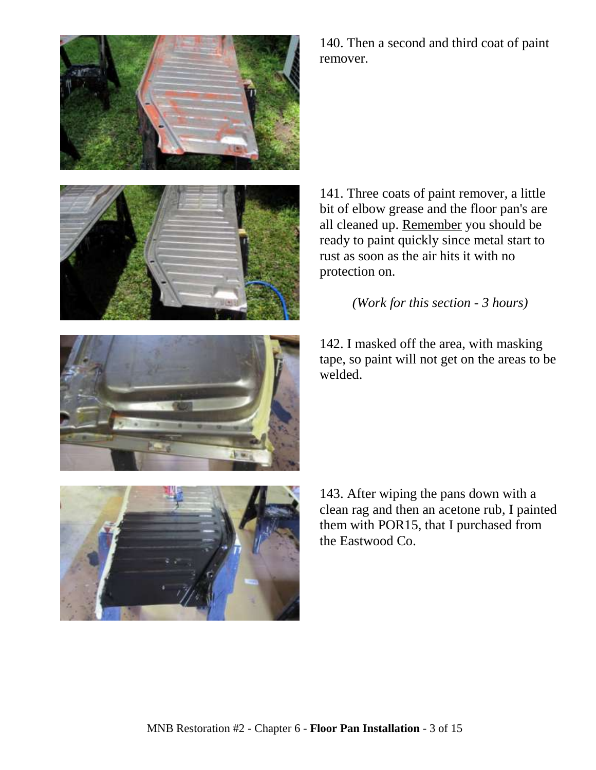



140. Then a second and third coat of paint remover.

141. Three coats of paint remover, a little bit of elbow grease and the floor pan's are all cleaned up. Remember you should be ready to paint quickly since metal start to rust as soon as the air hits it with no protection on.

*(Work for this section - 3 hours)*

142. I masked off the area, with masking tape, so paint will not get on the areas to be welded.





143. After wiping the pans down with a clean rag and then an acetone rub, I painted them with POR15, that I purchased from the Eastwood Co.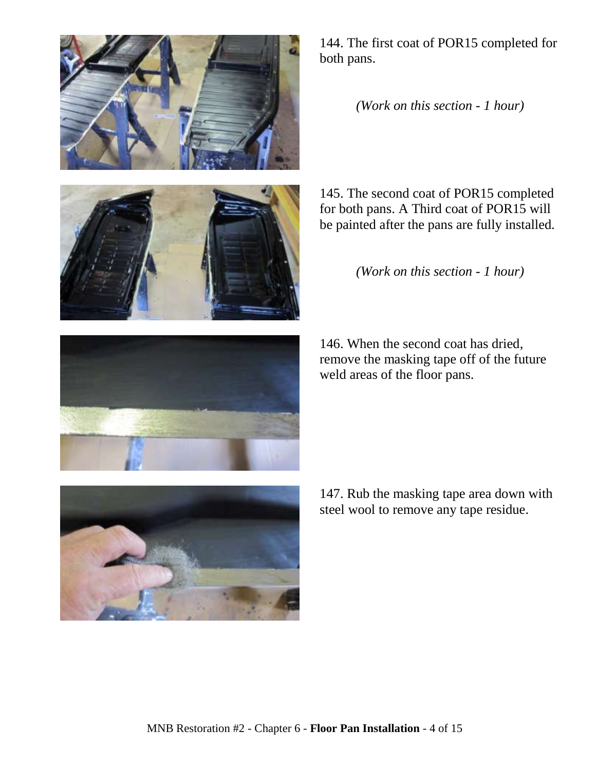



144. The first coat of POR15 completed for both pans.

*(Work on this section - 1 hour)*

145. The second coat of POR15 completed for both pans. A Third coat of POR15 will be painted after the pans are fully installed.

*(Work on this section - 1 hour)*

146. When the second coat has dried, remove the masking tape off of the future weld areas of the floor pans.



147. Rub the masking tape area down with steel wool to remove any tape residue.

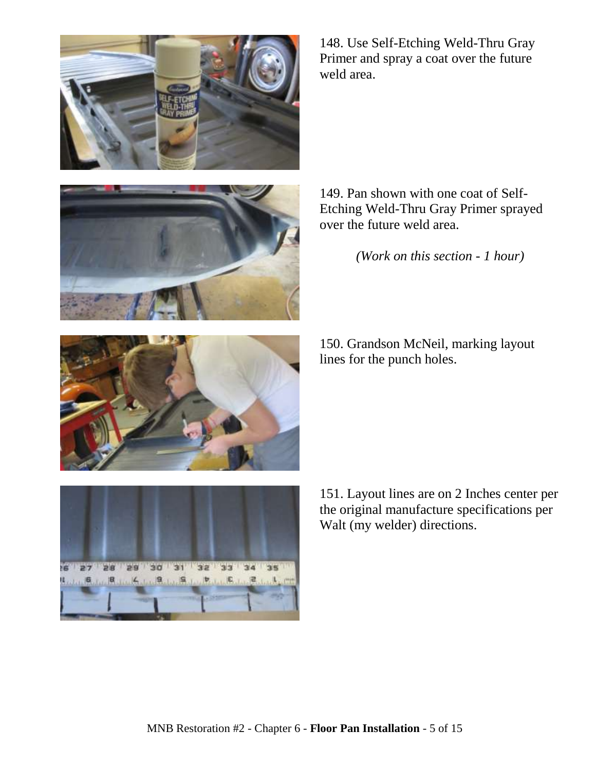

148. Use Self-Etching Weld-Thru Gray Primer and spray a coat over the future weld area.



149. Pan shown with one coat of Self-Etching Weld-Thru Gray Primer sprayed over the future weld area.

*(Work on this section - 1 hour)*

150. Grandson McNeil, marking layout lines for the punch holes.





151. Layout lines are on 2 Inches center per the original manufacture specifications per Walt (my welder) directions.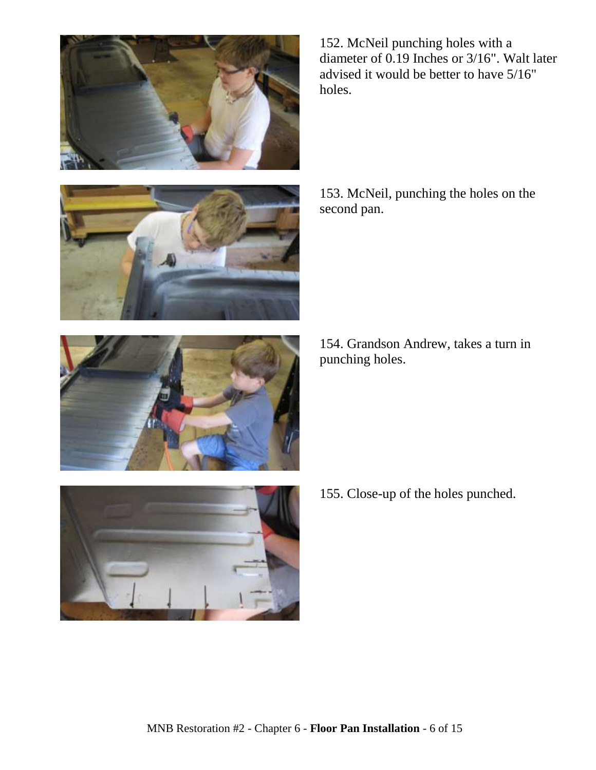





153. McNeil, punching the holes on the second pan.

154. Grandson Andrew, takes a turn in punching holes.



155. Close-up of the holes punched.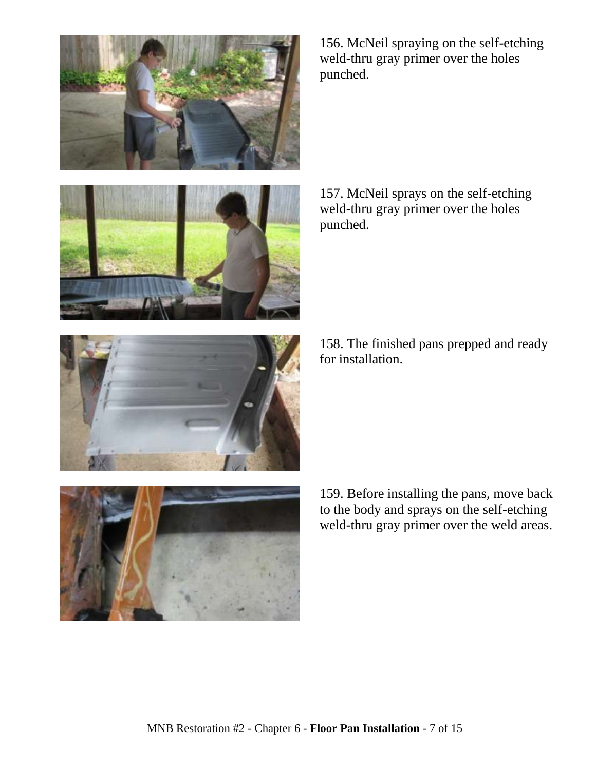



156. McNeil spraying on the self-etching weld-thru gray primer over the holes punched.

157. McNeil sprays on the self-etching weld-thru gray primer over the holes punched.

158. The finished pans prepped and ready for installation.



159. Before installing the pans, move back to the body and sprays on the self-etching weld-thru gray primer over the weld areas.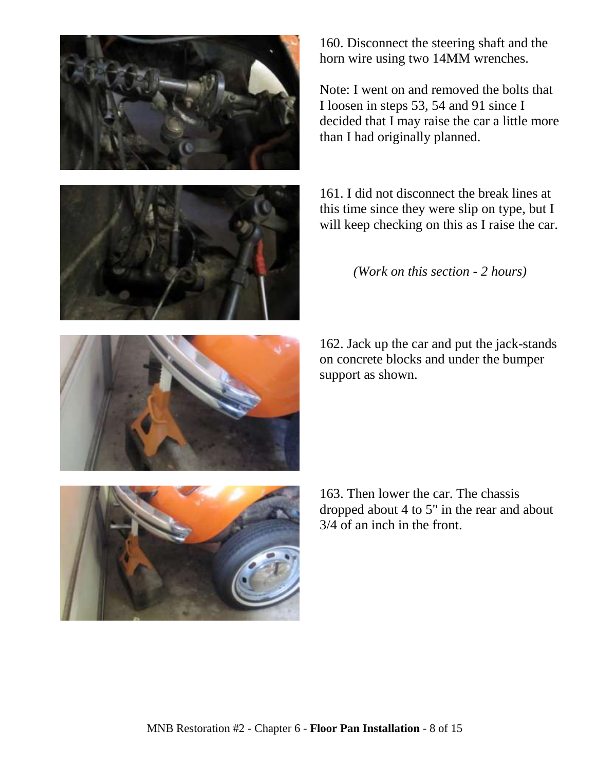

160. Disconnect the steering shaft and the horn wire using two 14MM wrenches.

Note: I went on and removed the bolts that I loosen in steps 53, 54 and 91 since I decided that I may raise the car a little more than I had originally planned.

161. I did not disconnect the break lines at this time since they were slip on type, but I will keep checking on this as I raise the car.

*(Work on this section - 2 hours)*

162. Jack up the car and put the jack-stands

on concrete blocks and under the bumper support as shown.

163. Then lower the car. The chassis dropped about 4 to 5" in the rear and about 3/4 of an inch in the front.

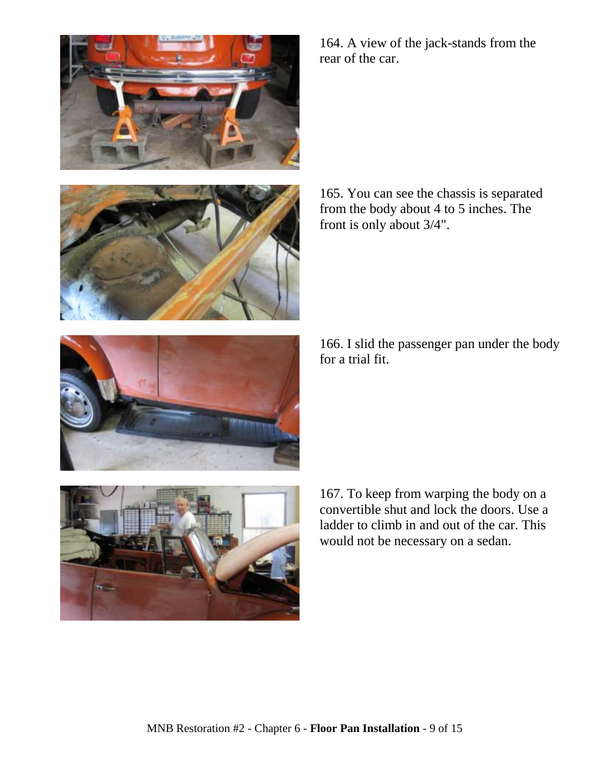

165. You can see the chassis is separated from the body about 4 to 5 inches. The front is only about 3/4".

166. I slid the passenger pan under the body for a trial fit.

167. To keep from warping the body on a convertible shut and lock the doors. Use a ladder to climb in and out of the car. This would not be necessary on a sedan.







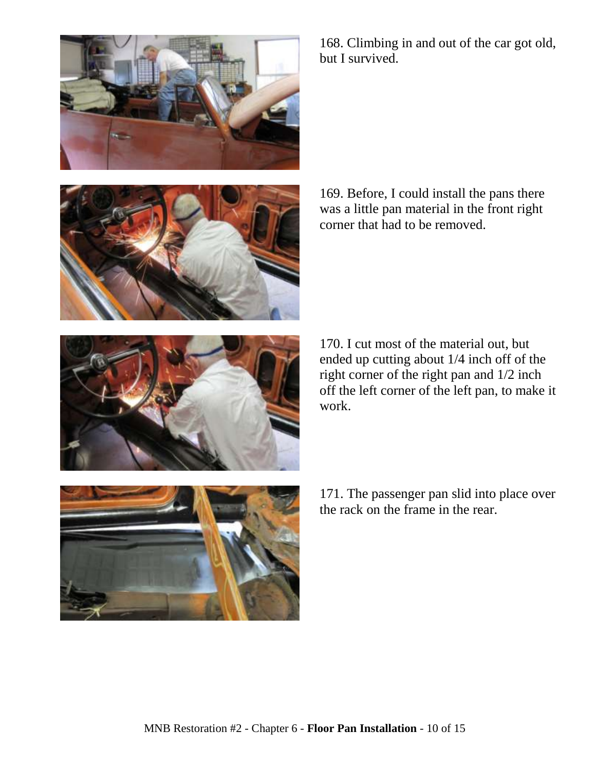





corner that had to be removed.

170. I cut most of the material out, but ended up cutting about 1/4 inch off of the right corner of the right pan and 1/2 inch off the left corner of the left pan, to make it work.



171. The passenger pan slid into place over the rack on the frame in the rear.

168. Climbing in and out of the car got old, but I survived.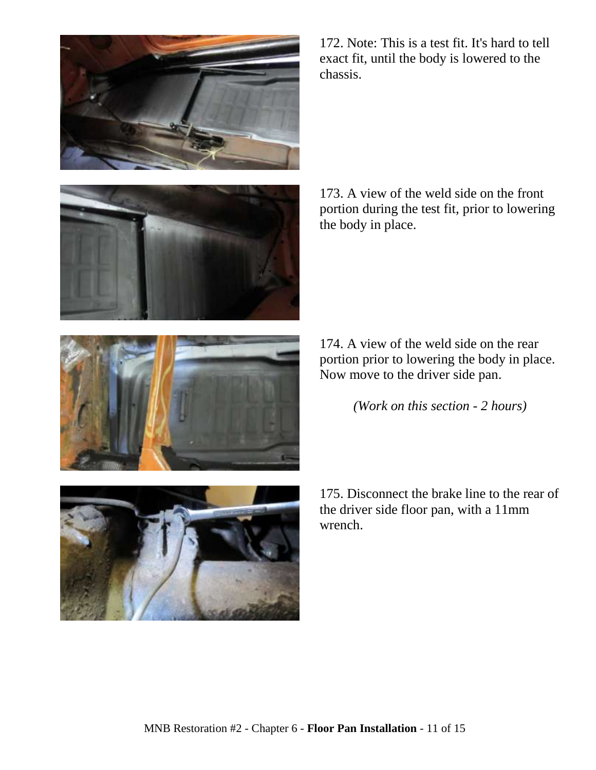



172. Note: This is a test fit. It's hard to tell exact fit, until the body is lowered to the chassis.

173. A view of the weld side on the front portion during the test fit, prior to lowering the body in place.

174. A view of the weld side on the rear portion prior to lowering the body in place. Now move to the driver side pan.

*(Work on this section - 2 hours)*



175. Disconnect the brake line to the rear of the driver side floor pan, with a 11mm

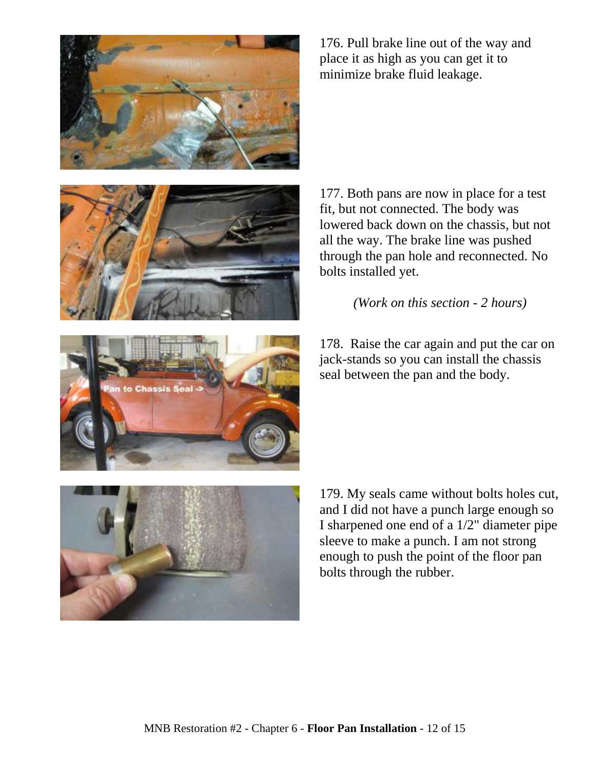





177. Both pans are now in place for a test fit, but not connected. The body was lowered back down on the chassis, but not all the way. The brake line was pushed through the pan hole and reconnected. No bolts installed yet.

*(Work on this section - 2 hours)*

178. Raise the car again and put the car on jack-stands so you can install the chassis seal between the pan and the body.



179. My seals came without bolts holes cut, and I did not have a punch large enough so I sharpened one end of a 1/2" diameter pipe sleeve to make a punch. I am not strong enough to push the point of the floor pan bolts through the rubber.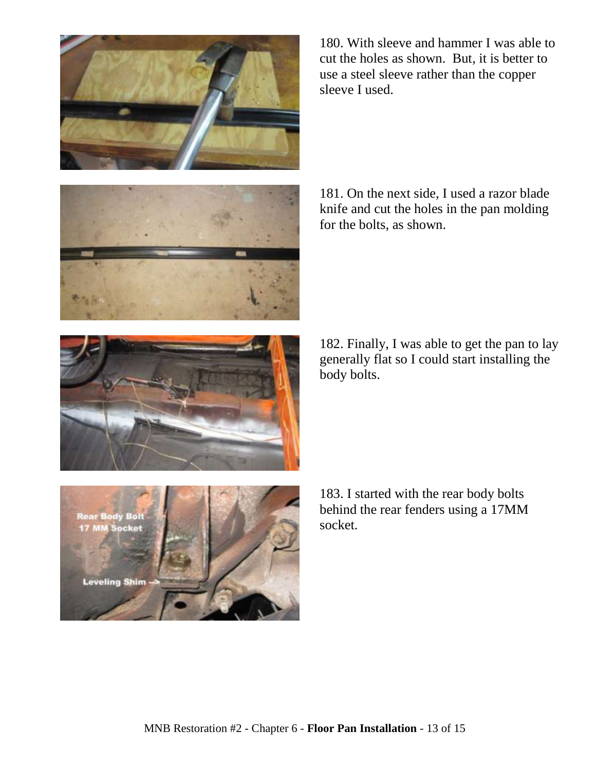

180. With sleeve and hammer I was able to cut the holes as shown. But, it is better to use a steel sleeve rather than the copper sleeve I used.



181. On the next side, I used a razor blade knife and cut the holes in the pan molding for the bolts, as shown.



182. Finally, I was able to get the pan to lay generally flat so I could start installing the body bolts.



183. I started with the rear body bolts behind the rear fenders using a 17MM socket.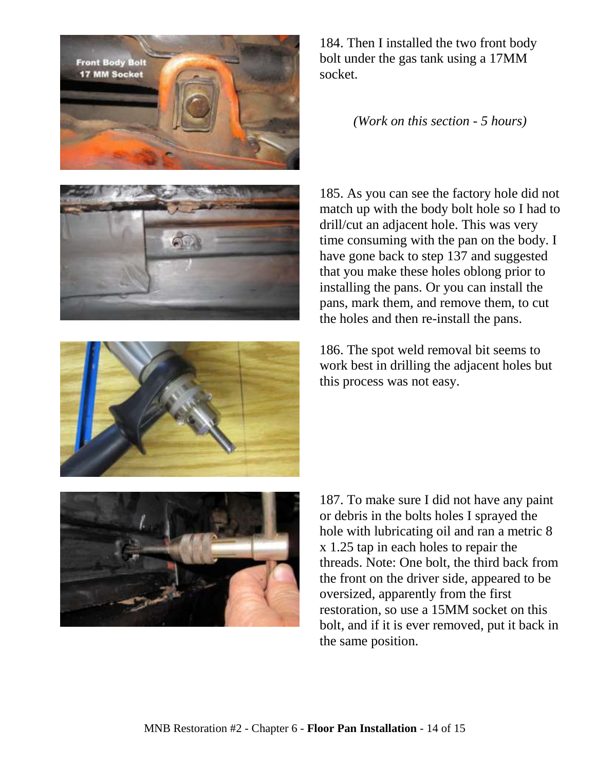





*(Work on this section - 5 hours)*

185. As you can see the factory hole did not match up with the body bolt hole so I had to drill/cut an adjacent hole. This was very time consuming with the pan on the body. I have gone back to step 137 and suggested that you make these holes oblong prior to installing the pans. Or you can install the pans, mark them, and remove them, to cut the holes and then re-install the pans.



186. The spot weld removal bit seems to work best in drilling the adjacent holes but this process was not easy.



187. To make sure I did not have any paint or debris in the bolts holes I sprayed the hole with lubricating oil and ran a metric 8 x 1.25 tap in each holes to repair the threads. Note: One bolt, the third back from the front on the driver side, appeared to be oversized, apparently from the first restoration, so use a 15MM socket on this bolt, and if it is ever removed, put it back in the same position.